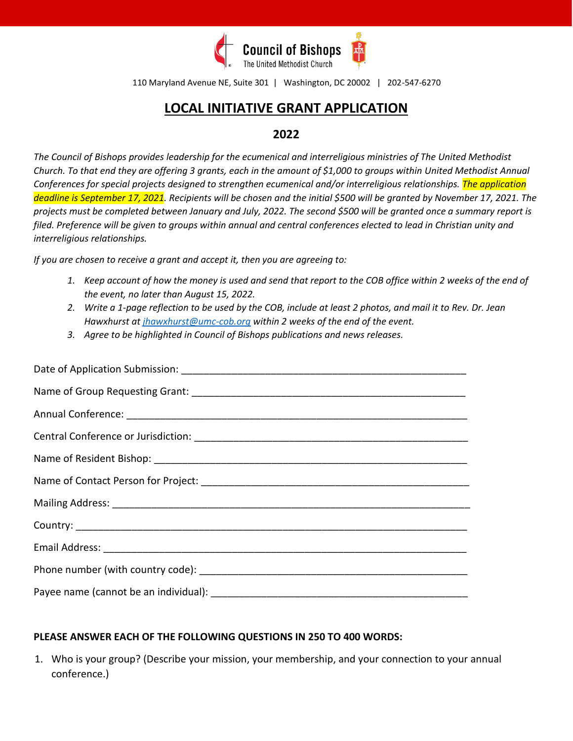

110 Maryland Avenue NE, Suite 301 | Washington, DC 20002 | 202-547-6270

## **LOCAL INITIATIVE GRANT APPLICATION**

## **2022**

*The Council of Bishops provides leadership for the ecumenical and interreligious ministries of The United Methodist Church. To that end they are offering 3 grants, each in the amount of \$1,000 to groups within United Methodist Annual Conferences for special projects designed to strengthen ecumenical and/or interreligious relationships. The application deadline is September 17, 2021. Recipients will be chosen and the initial \$500 will be granted by November 17, 2021. The projects must be completed between January and July, 2022. The second \$500 will be granted once a summary report is filed. Preference will be given to groups within annual and central conferences elected to lead in Christian unity and interreligious relationships.* 

*If you are chosen to receive a grant and accept it, then you are agreeing to:* 

- *1. Keep account of how the money is used and send that report to the COB office within 2 weeks of the end of the event, no later than August 15, 2022.*
- *2. Write a 1-page reflection to be used by the COB, include at least 2 photos, and mail it to Rev. Dr. Jean Hawxhurst a[t jhawxhurst@umc-cob.org](mailto:jhawxhurst@umc-cob.org) within 2 weeks of the end of the event.*
- *3. Agree to be highlighted in Council of Bishops publications and news releases.*

## **PLEASE ANSWER EACH OF THE FOLLOWING QUESTIONS IN 250 TO 400 WORDS:**

1. Who is your group? (Describe your mission, your membership, and your connection to your annual conference.)